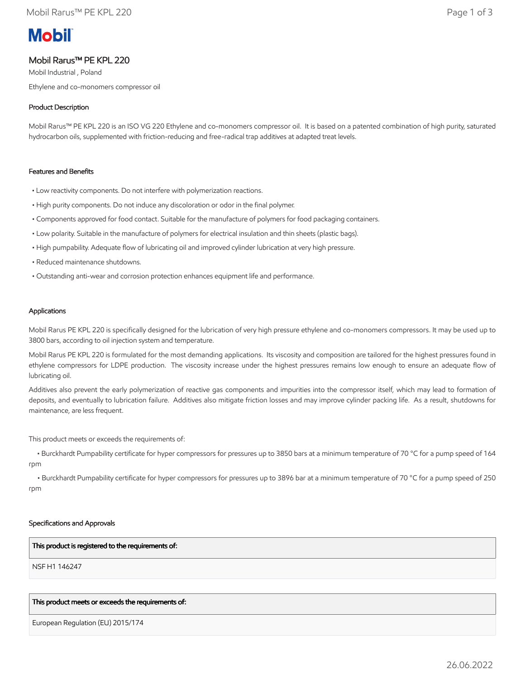# **Mobil**

## Mobil Rarus™ PE KPL 220

Mobil Industrial , Poland Ethylene and co-monomers compressor oil

### Product Description

Mobil Rarus™ PE KPL 220 is an ISO VG 220 Ethylene and co-monomers compressor oil. It is based on a patented combination of high purity, saturated hydrocarbon oils, supplemented with friction-reducing and free-radical trap additives at adapted treat levels.

#### Features and Benefits

- Low reactivity components. Do not interfere with polymerization reactions.
- High purity components. Do not induce any discoloration or odor in the final polymer.
- Components approved for food contact. Suitable for the manufacture of polymers for food packaging containers.
- Low polarity. Suitable in the manufacture of polymers for electrical insulation and thin sheets (plastic bags).
- High pumpability. Adequate flow of lubricating oil and improved cylinder lubrication at very high pressure.
- Reduced maintenance shutdowns.
- Outstanding anti-wear and corrosion protection enhances equipment life and performance.

#### Applications

Mobil Rarus PE KPL 220 is specifically designed for the lubrication of very high pressure ethylene and co-monomers compressors. It may be used up to 3800 bars, according to oil injection system and temperature.

Mobil Rarus PE KPL 220 is formulated for the most demanding applications. Its viscosity and composition are tailored for the highest pressures found in ethylene compressors for LDPE production. The viscosity increase under the highest pressures remains low enough to ensure an adequate flow of lubricating oil.

Additives also prevent the early polymerization of reactive gas components and impurities into the compressor itself, which may lead to formation of deposits, and eventually to lubrication failure. Additives also mitigate friction losses and may improve cylinder packing life. As a result, shutdowns for maintenance, are less frequent.

This product meets or exceeds the requirements of:

 • Burckhardt Pumpability certificate for hyper compressors for pressures up to 3850 bars at a minimum temperature of 70 °C for a pump speed of 164 rpm

 • Burckhardt Pumpability certificate for hyper compressors for pressures up to 3896 bar at a minimum temperature of 70 °C for a pump speed of 250 rpm

#### Specifications and Approvals

#### This product is registered to the requirements of:

NSF H1 146247

#### This product meets or exceeds the requirements of:

European Regulation (EU) 2015/174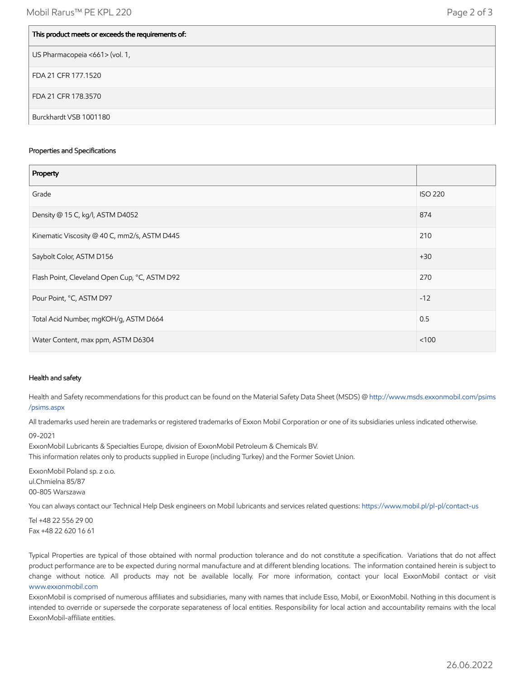| This product meets or exceeds the requirements of: |
|----------------------------------------------------|
| US Pharmacopeia <661> (vol. 1,                     |
| FDA 21 CFR 177.1520                                |
| FDA 21 CFR 178.3570                                |
| Burckhardt VSB 1001180                             |

#### Properties and Specifications

| Property                                      |                |
|-----------------------------------------------|----------------|
| Grade                                         | <b>ISO 220</b> |
| Density @ 15 C, kg/l, ASTM D4052              | 874            |
| Kinematic Viscosity @ 40 C, mm2/s, ASTM D445  | 210            |
| Saybolt Color, ASTM D156                      | $+30$          |
| Flash Point, Cleveland Open Cup, °C, ASTM D92 | 270            |
| Pour Point, °C, ASTM D97                      | $-12$          |
| Total Acid Number, mgKOH/g, ASTM D664         | 0.5            |
| Water Content, max ppm, ASTM D6304            | < 100          |

#### Health and safety

Health and Safety recommendations for this product can be found on the Material Safety Data Sheet (MSDS) @ [http://www.msds.exxonmobil.com/psims](http://www.msds.exxonmobil.com/psims/psims.aspx) /psims.aspx

All trademarks used herein are trademarks or registered trademarks of Exxon Mobil Corporation or one of its subsidiaries unless indicated otherwise.

#### 09-2021

ExxonMobil Lubricants & Specialties Europe, division of ExxonMobil Petroleum & Chemicals BV. This information relates only to products supplied in Europe (including Turkey) and the Former Soviet Union.

ExxonMobil Poland sp. z o.o. ul.Chmielna 85/87 00-805 Warszawa

You can always contact our Technical Help Desk engineers on Mobil lubricants and services related questions:<https://www.mobil.pl/pl-pl/contact-us>

Tel +48 22 556 29 00 Fax +48 22 620 16 61

Typical Properties are typical of those obtained with normal production tolerance and do not constitute a specification. Variations that do not affect product performance are to be expected during normal manufacture and at different blending locations. The information contained herein is subject to change without notice. All products may not be available locally. For more information, contact your local ExxonMobil contact or visit [www.exxonmobil.com](http://www.exxonmobil.com/)

ExxonMobil is comprised of numerous affiliates and subsidiaries, many with names that include Esso, Mobil, or ExxonMobil. Nothing in this document is intended to override or supersede the corporate separateness of local entities. Responsibility for local action and accountability remains with the local ExxonMobil-affiliate entities.